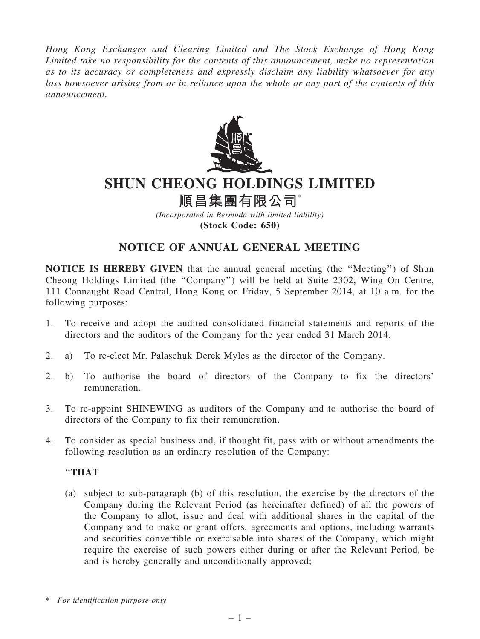*Hong Kong Exchanges and Clearing Limited and The Stock Exchange of Hong Kong Limited take no responsibility for the contents of this announcement, make no representation as to its accuracy or completeness and expressly disclaim any liability whatsoever for any loss howsoever arising from or in reliance upon the whole or any part of the contents of this announcement.*



# SHUN CHEONG HOLDINGS LIMITED

# 順昌集團有限公司

*(Incorporated in Bermuda with limited liability)* (Stock Code: 650)

## NOTICE OF ANNUAL GENERAL MEETING

NOTICE IS HEREBY GIVEN that the annual general meeting (the ''Meeting'') of Shun Cheong Holdings Limited (the ''Company'') will be held at Suite 2302, Wing On Centre, 111 Connaught Road Central, Hong Kong on Friday, 5 September 2014, at 10 a.m. for the following purposes:

- 1. To receive and adopt the audited consolidated financial statements and reports of the directors and the auditors of the Company for the year ended 31 March 2014.
- 2. a) To re-elect Mr. Palaschuk Derek Myles as the director of the Company.
- 2. b) To authorise the board of directors of the Company to fix the directors' remuneration.
- 3. To re-appoint SHINEWING as auditors of the Company and to authorise the board of directors of the Company to fix their remuneration.
- 4. To consider as special business and, if thought fit, pass with or without amendments the following resolution as an ordinary resolution of the Company:

### ''THAT

(a) subject to sub-paragraph (b) of this resolution, the exercise by the directors of the Company during the Relevant Period (as hereinafter defined) of all the powers of the Company to allot, issue and deal with additional shares in the capital of the Company and to make or grant offers, agreements and options, including warrants and securities convertible or exercisable into shares of the Company, which might require the exercise of such powers either during or after the Relevant Period, be and is hereby generally and unconditionally approved;

<sup>\*</sup> *For identification purpose only*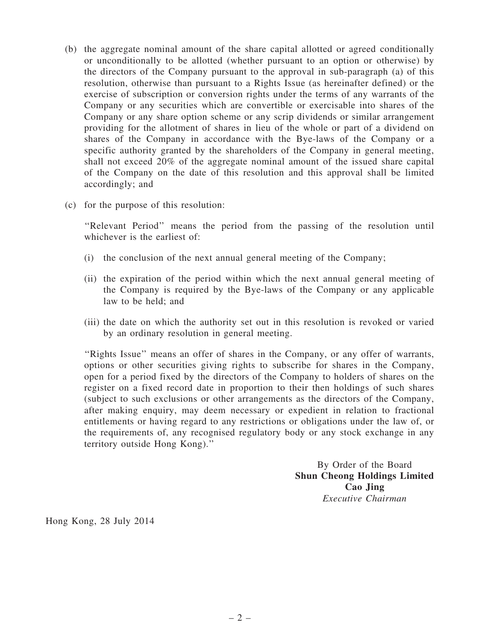- (b) the aggregate nominal amount of the share capital allotted or agreed conditionally or unconditionally to be allotted (whether pursuant to an option or otherwise) by the directors of the Company pursuant to the approval in sub-paragraph (a) of this resolution, otherwise than pursuant to a Rights Issue (as hereinafter defined) or the exercise of subscription or conversion rights under the terms of any warrants of the Company or any securities which are convertible or exercisable into shares of the Company or any share option scheme or any scrip dividends or similar arrangement providing for the allotment of shares in lieu of the whole or part of a dividend on shares of the Company in accordance with the Bye-laws of the Company or a specific authority granted by the shareholders of the Company in general meeting, shall not exceed 20% of the aggregate nominal amount of the issued share capital of the Company on the date of this resolution and this approval shall be limited accordingly; and
- (c) for the purpose of this resolution:

''Relevant Period'' means the period from the passing of the resolution until whichever is the earliest of:

- (i) the conclusion of the next annual general meeting of the Company;
- (ii) the expiration of the period within which the next annual general meeting of the Company is required by the Bye-laws of the Company or any applicable law to be held; and
- (iii) the date on which the authority set out in this resolution is revoked or varied by an ordinary resolution in general meeting.

''Rights Issue'' means an offer of shares in the Company, or any offer of warrants, options or other securities giving rights to subscribe for shares in the Company, open for a period fixed by the directors of the Company to holders of shares on the register on a fixed record date in proportion to their then holdings of such shares (subject to such exclusions or other arrangements as the directors of the Company, after making enquiry, may deem necessary or expedient in relation to fractional entitlements or having regard to any restrictions or obligations under the law of, or the requirements of, any recognised regulatory body or any stock exchange in any territory outside Hong Kong).''

> By Order of the Board Shun Cheong Holdings Limited Cao Jing *Executive Chairman*

Hong Kong, 28 July 2014